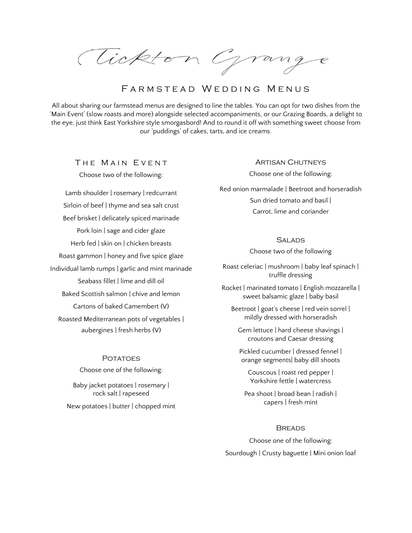Tickton Grang

# FARMSTEAD WEDDING MENUS

All about sharing our farmstead menus are designed to line the tables. You can opt for two dishes from the 'Main Event' (slow roasts and more) alongside selected accompaniments, or our Grazing Boards, a delight to the eye, just think East Yorkshire style smorgasbord! And to round it off with something sweet choose from our 'puddings' of cakes, tarts, and ice creams.

THE MAIN EVENT Choose two of the following:

Lamb shoulder | rosemary | redcurrant Sirloin of beef | thyme and sea salt crust Beef brisket | delicately spiced marinade Pork loin | sage and cider glaze Herb fed | skin on | chicken breasts Roast gammon | honey and five spice glaze Individual lamb rumps | garlic and mint marinade Seabass fillet | lime and dill oil Baked Scottish salmon | chive and lemon Cartons of baked Camembert (V) Roasted Mediterranean pots of vegetables | aubergines | fresh herbs (V)

> **POTATOES** Choose one of the following:

Baby jacket potatoes | rosemary | rock salt | rapeseed New potatoes | butter | chopped mint Artisan Chutneys

Choose one of the following:

Red onion marmalade | Beetroot and horseradish Sun dried tomato and basil | Carrot, lime and coriander

## **SALADS**

Choose two of the following

Roast celeriac | mushroom | baby leaf spinach | truffle dressing

Rocket | marinated tomato | English mozzarella | sweet balsamic glaze | baby basil

Beetroot | goat's cheese | red vein sorrel | mildly dressed with horseradish

Gem lettuce | hard cheese shavings | croutons and Caesar dressing

Pickled cucumber | dressed fennel | orange segments| baby dill shoots

Couscous | roast red pepper | Yorkshire fettle | watercress

Pea shoot | broad bean | radish | capers | fresh mint

### **BREADS**

Choose one of the following: Sourdough | Crusty baguette | Mini onion loaf